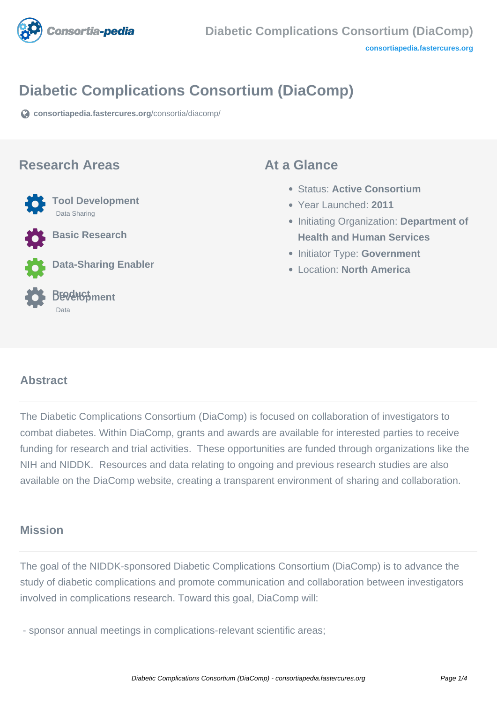

# **Diabetic Complications Consortium (DiaComp)**

**[consortiapedia.fastercures.org](https://consortiapedia.fastercures.org/consortia/diacomp/)**[/consortia/diacomp/](https://consortiapedia.fastercures.org/consortia/diacomp/)

#### **Research Areas**



**Basic Research**

**Data-Sharing Enabler**

#### **Product Development** Data

#### **At a Glance**

- Status: **Active Consortium**
- Year Launched: **2011**
- **Initiating Organization: Department of Health and Human Services**
- **Initiator Type: Government**
- Location: **North America**

#### $\overline{a}$ **Abstract**

The Diabetic Complications Consortium (DiaComp) is focused on collaboration of investigators to combat diabetes. Within DiaComp, grants and awards are available for interested parties to receive funding for research and trial activities. These opportunities are funded through organizations like the NIH and NIDDK. Resources and data relating to ongoing and previous research studies are also available on the DiaComp website, creating a transparent environment of sharing and collaboration.

#### **Mission**

The goal of the NIDDK-sponsored Diabetic Complications Consortium (DiaComp) is to advance the study of diabetic complications and promote communication and collaboration between investigators involved in complications research. Toward this goal, DiaComp will:

- sponsor annual meetings in complications-relevant scientific areas;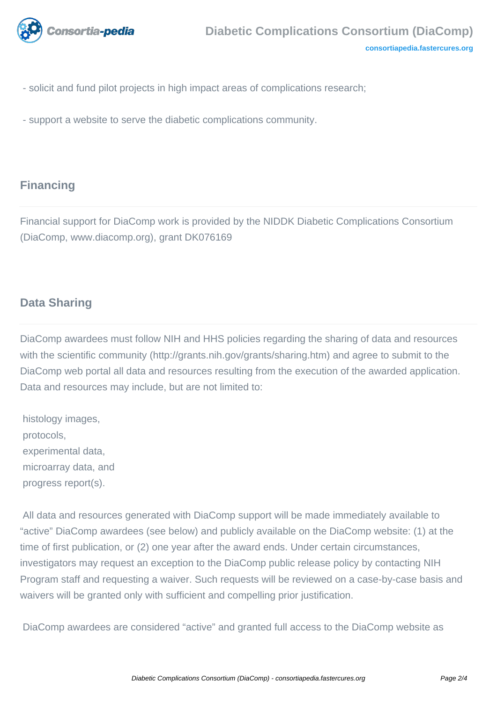

- solicit and fund pilot projects in high impact areas of complications research;
- support a website to serve the diabetic complications community.

## **Financing**

Financial support for DiaComp work is provided by the NIDDK Diabetic Complications Consortium (DiaComp, www.diacomp.org), grant DK076169

#### **Data Sharing**

DiaComp awardees must follow NIH and HHS policies regarding the sharing of data and resources with the scientific community (http://grants.nih.gov/grants/sharing.htm) and agree to submit to the DiaComp web portal all data and resources resulting from the execution of the awarded application. Data and resources may include, but are not limited to:

 histology images, protocols, experimental data, microarray data, and progress report(s).

 All data and resources generated with DiaComp support will be made immediately available to "active" DiaComp awardees (see below) and publicly available on the DiaComp website: (1) at the time of first publication, or (2) one year after the award ends. Under certain circumstances, investigators may request an exception to the DiaComp public release policy by contacting NIH Program staff and requesting a waiver. Such requests will be reviewed on a case-by-case basis and waivers will be granted only with sufficient and compelling prior justification.

DiaComp awardees are considered "active" and granted full access to the DiaComp website as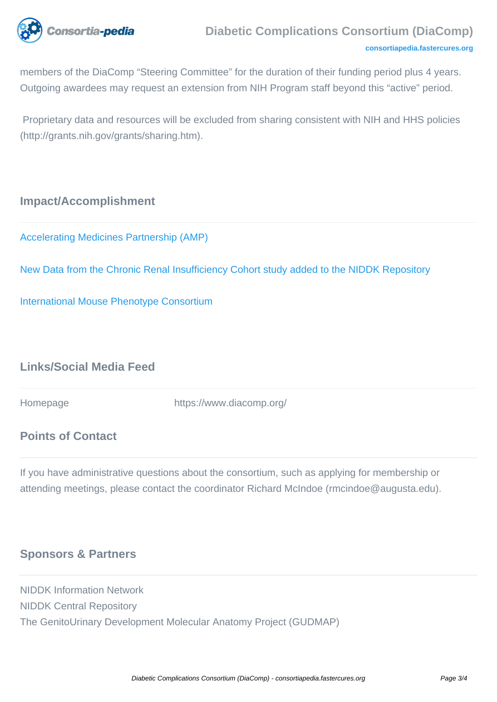

members of the DiaComp "Steering Committee" for the duration of their funding period plus 4 years. Outgoing awardees may request an extension from NIH Program staff beyond this "active" period.

 Proprietary data and resources will be excluded from sharing consistent with NIH and HHS policies (http://grants.nih.gov/grants/sharing.htm).

## **Impact/Accomplishment**

[Accelerating Medicines Partnership \(AMP\)](https://www.nih.gov/research-training/accelerating-medicines-partnership-amp/type-2-diabetes)

[New Data from the Chronic Renal Insufficiency Cohort study added to the NIDDK Repository](https://www.niddkrepository.org/home/)

[International Mouse Phenotype Consortium](https://www.diacomp.org/shared/kompData.aspx)

## **Links/Social Media Feed**

Homepage https://www.diacomp.org/

#### **Points of Contact**

If you have administrative questions about the consortium, such as applying for membership or attending meetings, please contact the coordinator Richard McIndoe (rmcindoe@augusta.edu).

# **Sponsors & Partners**

NIDDK Information Network NIDDK Central Repository The GenitoUrinary Development Molecular Anatomy Project (GUDMAP)